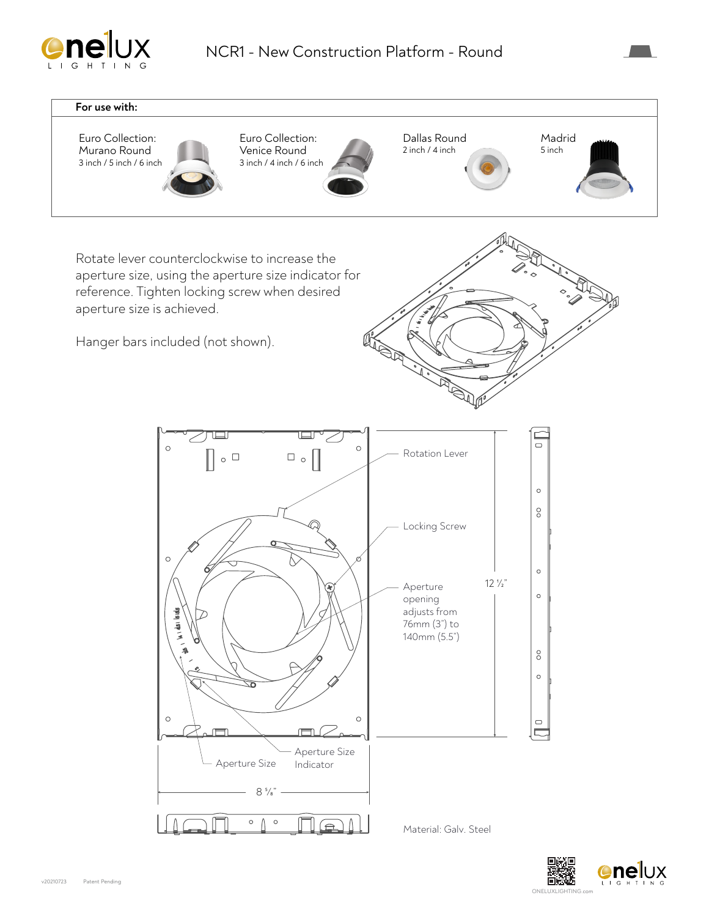



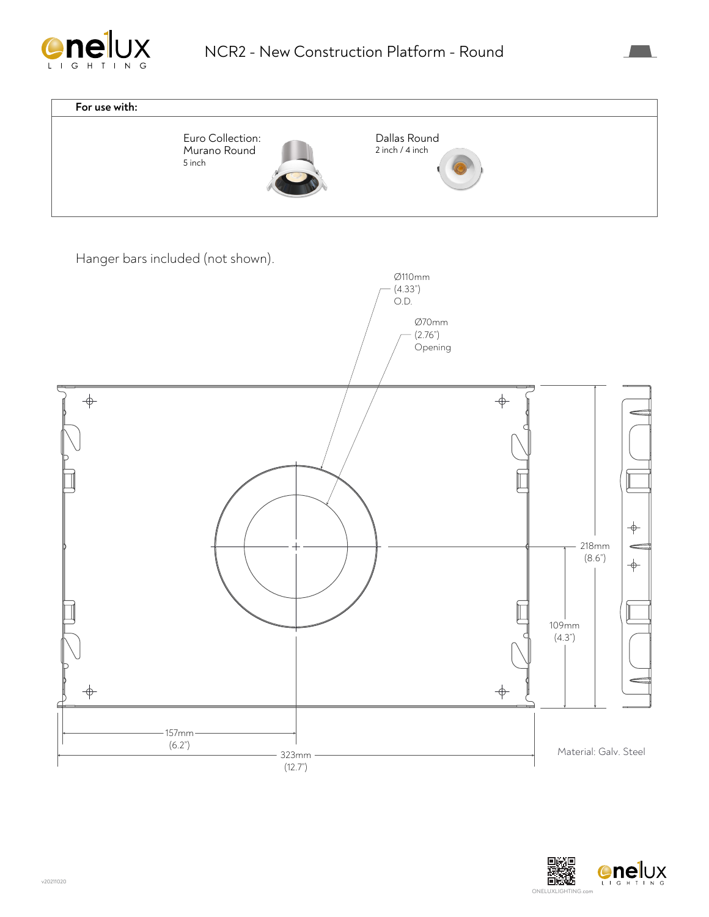



Hanger bars included (not shown).



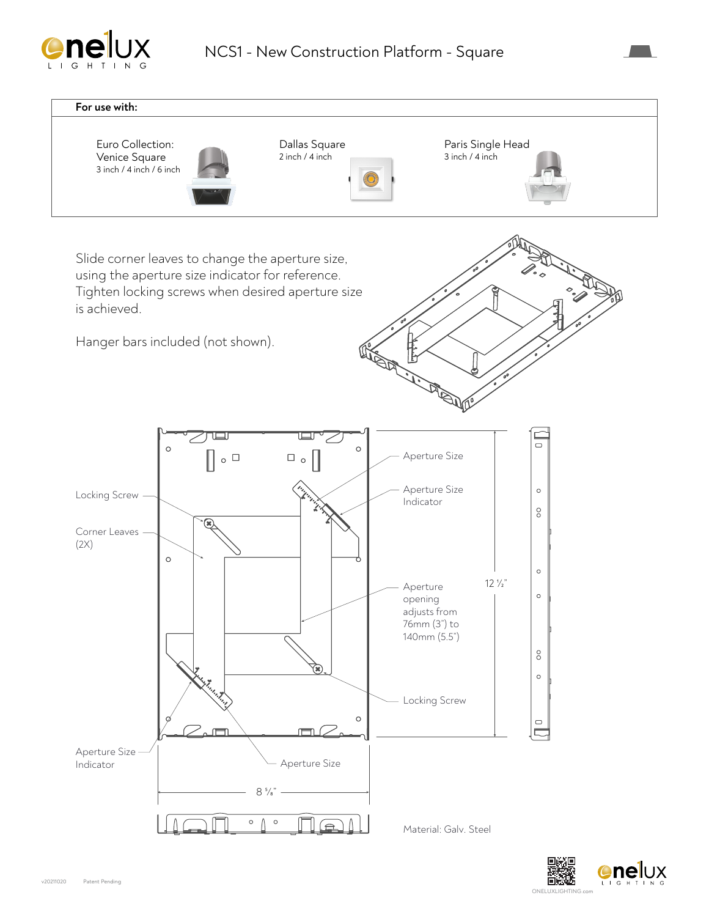